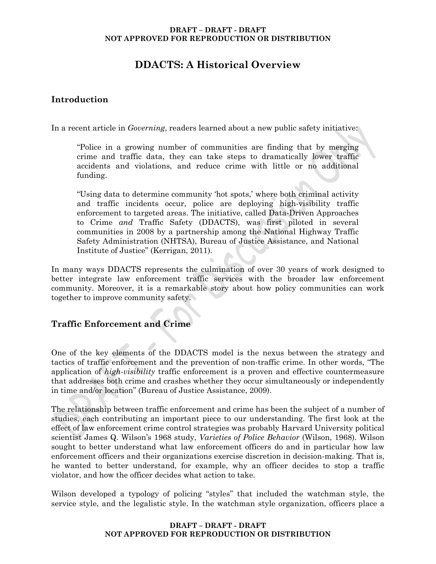# **DDACTS: A Historical Overview**

# **Introduction**

In a recent article in *Governing*, readers learned about a new public safety initiative:

"Police in a growing number of communities are finding that by merging crime and traffic data, they can take steps to dramatically lower traffic accidents and violations, and reduce crime with little or no additional funding.

"Using data to determine community 'hot spots,' where both criminal activity and traffic incidents occur, police are deploying high-visibility traffic enforcement to targeted areas. The initiative, called Data-Driven Approaches to Crime *and* Traffic Safety (DDACTS), was first piloted in several communities in 2008 by a partnership among the National Highway Traffic Safety Administration (NHTSA), Bureau of Justice Assistance, and National Institute of Justice" (Kerrigan, 2011).

In many ways DDACTS represents the culmination of over 30 years of work designed to better integrate law enforcement traffic services with the broader law enforcement community. Moreover, it is a remarkable story about how policy communities can work together to improve community safety.

# **Traffic Enforcement and Crime**

One of the key elements of the DDACTS model is the nexus between the strategy and tactics of traffic enforcement and the prevention of non-traffic crime. In other words, "The application of *high-visibility* traffic enforcement is a proven and effective countermeasure that addresses both crime and crashes whether they occur simultaneously or independently in time and/or location" (Bureau of Justice Assistance, 2009).

The relationship between traffic enforcement and crime has been the subject of a number of studies, each contributing an important piece to our understanding. The first look at the effect of law enforcement crime control strategies was probably Harvard University political scientist James Q. Wilson's 1968 study, *Varieties of Police Behavior* (Wilson, 1968). Wilson sought to better understand what law enforcement officers do and in particular how law enforcement officers and their organizations exercise discretion in decision-making. That is, he wanted to better understand, for example, why an officer decides to stop a traffic violator, and how the officer decides what action to take.

Wilson developed a typology of policing "styles" that included the watchman style, the service style, and the legalistic style. In the watchman style organization, officers place a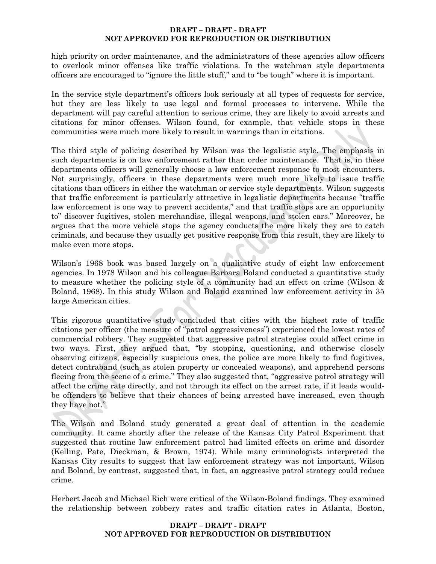high priority on order maintenance, and the administrators of these agencies allow officers to overlook minor offenses like traffic violations. In the watchman style departments officers are encouraged to "ignore the little stuff," and to "be tough" where it is important.

In the service style department's officers look seriously at all types of requests for service, but they are less likely to use legal and formal processes to intervene. While the department will pay careful attention to serious crime, they are likely to avoid arrests and citations for minor offenses. Wilson found, for example, that vehicle stops in these communities were much more likely to result in warnings than in citations.

The third style of policing described by Wilson was the legalistic style. The emphasis in such departments is on law enforcement rather than order maintenance. That is, in these departments officers will generally choose a law enforcement response to most encounters. Not surprisingly, officers in these departments were much more likely to issue traffic citations than officers in either the watchman or service style departments. Wilson suggests that traffic enforcement is particularly attractive in legalistic departments because "traffic law enforcement is one way to prevent accidents," and that traffic stops are an opportunity to" discover fugitives, stolen merchandise, illegal weapons, and stolen cars." Moreover, he argues that the more vehicle stops the agency conducts the more likely they are to catch criminals, and because they usually get positive response from this result, they are likely to make even more stops.

Wilson's 1968 book was based largely on a qualitative study of eight law enforcement agencies. In 1978 Wilson and his colleague Barbara Boland conducted a quantitative study to measure whether the policing style of a community had an effect on crime (Wilson & Boland, 1968). In this study Wilson and Boland examined law enforcement activity in 35 large American cities.

This rigorous quantitative study concluded that cities with the highest rate of traffic citations per officer (the measure of "patrol aggressiveness") experienced the lowest rates of commercial robbery. They suggested that aggressive patrol strategies could affect crime in two ways. First, they argued that, "by stopping, questioning, and otherwise closely observing citizens, especially suspicious ones, the police are more likely to find fugitives, detect contraband (such as stolen property or concealed weapons), and apprehend persons fleeing from the scene of a crime." They also suggested that, "aggressive patrol strategy will affect the crime rate directly, and not through its effect on the arrest rate, if it leads wouldbe offenders to believe that their chances of being arrested have increased, even though they have not."

The Wilson and Boland study generated a great deal of attention in the academic community. It came shortly after the release of the Kansas City Patrol Experiment that suggested that routine law enforcement patrol had limited effects on crime and disorder (Kelling, Pate, Dieckman, & Brown, 1974). While many criminologists interpreted the Kansas City results to suggest that law enforcement strategy was not important, Wilson and Boland, by contrast, suggested that, in fact, an aggressive patrol strategy could reduce crime.

Herbert Jacob and Michael Rich were critical of the Wilson-Boland findings. They examined the relationship between robbery rates and traffic citation rates in Atlanta, Boston,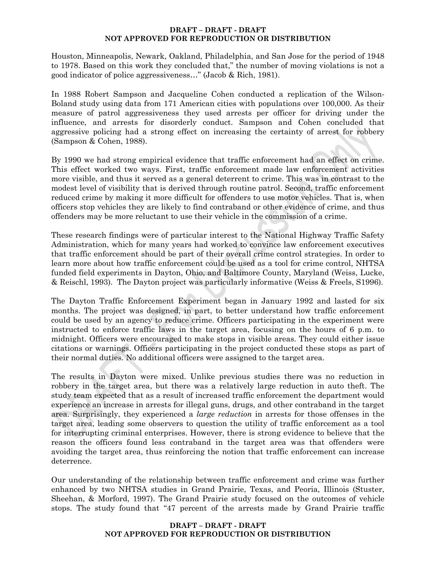Houston, Minneapolis, Newark, Oakland, Philadelphia, and San Jose for the period of 1948 to 1978. Based on this work they concluded that," the number of moving violations is not a good indicator of police aggressiveness…" (Jacob & Rich, 1981).

In 1988 Robert Sampson and Jacqueline Cohen conducted a replication of the Wilson-Boland study using data from 171 American cities with populations over 100,000. As their measure of patrol aggressiveness they used arrests per officer for driving under the influence, and arrests for disorderly conduct. Sampson and Cohen concluded that aggressive policing had a strong effect on increasing the certainty of arrest for robbery (Sampson & Cohen, 1988).

By 1990 we had strong empirical evidence that traffic enforcement had an effect on crime. This effect worked two ways. First, traffic enforcement made law enforcement activities more visible, and thus it served as a general deterrent to crime. This was in contrast to the modest level of visibility that is derived through routine patrol. Second, traffic enforcement reduced crime by making it more difficult for offenders to use motor vehicles. That is, when officers stop vehicles they are likely to find contraband or other evidence of crime, and thus offenders may be more reluctant to use their vehicle in the commission of a crime.

These research findings were of particular interest to the National Highway Traffic Safety Administration, which for many years had worked to convince law enforcement executives that traffic enforcement should be part of their overall crime control strategies. In order to learn more about how traffic enforcement could be used as a tool for crime control, NHTSA funded field experiments in Dayton, Ohio, and Baltimore County, Maryland (Weiss, Lucke, & Reischl, 1993). The Dayton project was particularly informative (Weiss & Freels, S1996).

The Dayton Traffic Enforcement Experiment began in January 1992 and lasted for six months. The project was designed, in part, to better understand how traffic enforcement could be used by an agency to reduce crime. Officers participating in the experiment were instructed to enforce traffic laws in the target area, focusing on the hours of 6 p.m. to midnight. Officers were encouraged to make stops in visible areas. They could either issue citations or warnings. Officers participating in the project conducted these stops as part of their normal duties. No additional officers were assigned to the target area.

The results in Dayton were mixed. Unlike previous studies there was no reduction in robbery in the target area, but there was a relatively large reduction in auto theft. The study team expected that as a result of increased traffic enforcement the department would experience an increase in arrests for illegal guns, drugs, and other contraband in the target area. Surprisingly, they experienced a *large reduction* in arrests for those offenses in the target area, leading some observers to question the utility of traffic enforcement as a tool for interrupting criminal enterprises. However, there is strong evidence to believe that the reason the officers found less contraband in the target area was that offenders were avoiding the target area, thus reinforcing the notion that traffic enforcement can increase deterrence.

Our understanding of the relationship between traffic enforcement and crime was further enhanced by two NHTSA studies in Grand Prairie, Texas, and Peoria, Illinois (Stuster, Sheehan, & Morford, 1997). The Grand Prairie study focused on the outcomes of vehicle stops. The study found that "47 percent of the arrests made by Grand Prairie traffic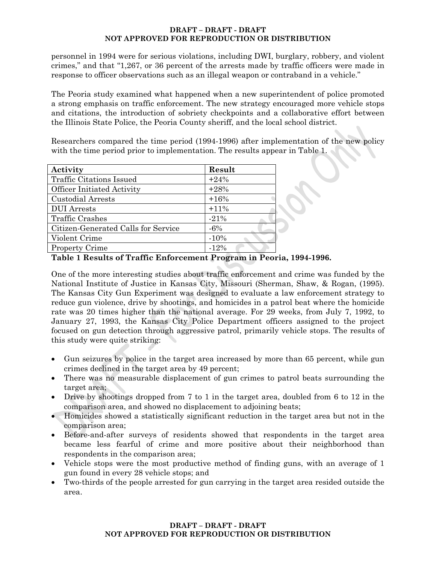personnel in 1994 were for serious violations, including DWI, burglary, robbery, and violent crimes," and that "1,267, or 36 percent of the arrests made by traffic officers were made in response to officer observations such as an illegal weapon or contraband in a vehicle."

The Peoria study examined what happened when a new superintendent of police promoted a strong emphasis on traffic enforcement. The new strategy encouraged more vehicle stops and citations, the introduction of sobriety checkpoints and a collaborative effort between the Illinois State Police, the Peoria County sheriff, and the local school district.

Researchers compared the time period (1994-1996) after implementation of the new policy with the time period prior to implementation. The results appear in Table 1.

| Activity                            | Result |
|-------------------------------------|--------|
| <b>Traffic Citations Issued</b>     | $+24%$ |
| <b>Officer Initiated Activity</b>   | $+28%$ |
| Custodial Arrests                   | $+16%$ |
| <b>DUI</b> Arrests                  | $+11%$ |
| <b>Traffic Crashes</b>              | $-21%$ |
| Citizen-Generated Calls for Service | $-6%$  |
| Violent Crime                       | $-10%$ |
| <b>Property Crime</b>               | $-12%$ |

**Table 1 Results of Traffic Enforcement Program in Peoria, 1994-1996.** 

One of the more interesting studies about traffic enforcement and crime was funded by the National Institute of Justice in Kansas City, Missouri (Sherman, Shaw, & Rogan, (1995). The Kansas City Gun Experiment was designed to evaluate a law enforcement strategy to reduce gun violence, drive by shootings, and homicides in a patrol beat where the homicide rate was 20 times higher than the national average. For 29 weeks, from July 7, 1992, to January 27, 1993, the Kansas City Police Department officers assigned to the project focused on gun detection through aggressive patrol, primarily vehicle stops. The results of this study were quite striking:

- Gun seizures by police in the target area increased by more than 65 percent, while gun crimes declined in the target area by 49 percent;
- There was no measurable displacement of gun crimes to patrol beats surrounding the target area;
- Drive by shootings dropped from 7 to 1 in the target area, doubled from 6 to 12 in the comparison area, and showed no displacement to adjoining beats;
- Homicides showed a statistically significant reduction in the target area but not in the comparison area;
- Before-and-after surveys of residents showed that respondents in the target area became less fearful of crime and more positive about their neighborhood than respondents in the comparison area;
- Vehicle stops were the most productive method of finding guns, with an average of 1 gun found in every 28 vehicle stops; and
- Two-thirds of the people arrested for gun carrying in the target area resided outside the area.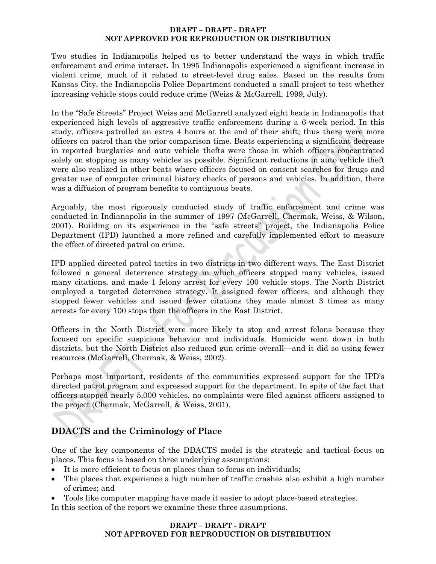Two studies in Indianapolis helped us to better understand the ways in which traffic enforcement and crime interact. In 1995 Indianapolis experienced a significant increase in violent crime, much of it related to street-level drug sales. Based on the results from Kansas City, the Indianapolis Police Department conducted a small project to test whether increasing vehicle stops could reduce crime (Weiss & McGarrell, 1999, July).

In the "Safe Streets" Project Weiss and McGarrell analyzed eight beats in Indianapolis that experienced high levels of aggressive traffic enforcement during a 6-week period. In this study, officers patrolled an extra 4 hours at the end of their shift; thus there were more officers on patrol than the prior comparison time. Beats experiencing a significant decrease in reported burglaries and auto vehicle thefts were those in which officers concentrated solely on stopping as many vehicles as possible. Significant reductions in auto vehicle theft were also realized in other beats where officers focused on consent searches for drugs and greater use of computer criminal history checks of persons and vehicles. In addition, there was a diffusion of program benefits to contiguous beats.

Arguably, the most rigorously conducted study of traffic enforcement and crime was conducted in Indianapolis in the summer of 1997 (McGarrell, Chermak, Weiss, & Wilson, 2001). Building on its experience in the "safe streets" project, the Indianapolis Police Department (IPD) launched a more refined and carefully implemented effort to measure the effect of directed patrol on crime.

IPD applied directed patrol tactics in two districts in two different ways. The East District followed a general deterrence strategy in which officers stopped many vehicles, issued many citations, and made 1 felony arrest for every 100 vehicle stops. The North District employed a targeted deterrence strategy. It assigned fewer officers, and although they stopped fewer vehicles and issued fewer citations they made almost 3 times as many arrests for every 100 stops than the officers in the East District.

Officers in the North District were more likely to stop and arrest felons because they focused on specific suspicious behavior and individuals. Homicide went down in both districts, but the North District also reduced gun crime overall—and it did so using fewer resources (McGarrell, Chermak, & Weiss, 2002).

Perhaps most important, residents of the communities expressed support for the IPD's directed patrol program and expressed support for the department. In spite of the fact that officers stopped nearly 5,000 vehicles, no complaints were filed against officers assigned to the project (Chermak, McGarrell, & Weiss, 2001).

# **DDACTS and the Criminology of Place**

One of the key components of the DDACTS model is the strategic and tactical focus on places. This focus is based on three underlying assumptions:

- It is more efficient to focus on places than to focus on individuals;
- The places that experience a high number of traffic crashes also exhibit a high number of crimes; and
- Tools like computer mapping have made it easier to adopt place-based strategies.

In this section of the report we examine these three assumptions.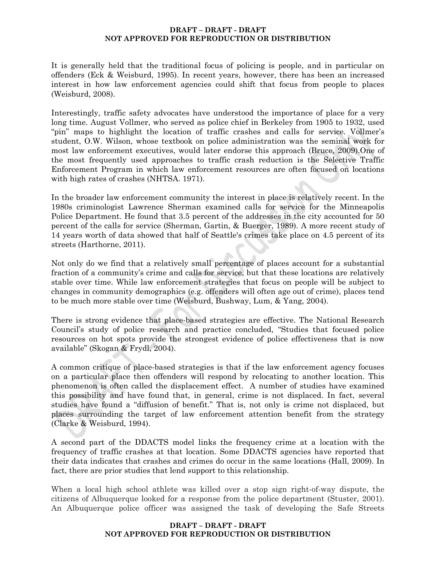It is generally held that the traditional focus of policing is people, and in particular on offenders (Eck & Weisburd, 1995). In recent years, however, there has been an increased interest in how law enforcement agencies could shift that focus from people to places (Weisburd, 2008).

Interestingly, traffic safety advocates have understood the importance of place for a very long time. August Vollmer, who served as police chief in Berkeley from 1905 to 1932, used "pin" maps to highlight the location of traffic crashes and calls for service. Vollmer's student, O.W. Wilson, whose textbook on police administration was the seminal work for most law enforcement executives, would later endorse this approach (Bruce, 2009).One of the most frequently used approaches to traffic crash reduction is the Selective Traffic Enforcement Program in which law enforcement resources are often focused on locations with high rates of crashes (NHTSA. 1971).

In the broader law enforcement community the interest in place is relatively recent. In the 1980s criminologist Lawrence Sherman examined calls for service for the Minneapolis Police Department. He found that 3.5 percent of the addresses in the city accounted for 50 percent of the calls for service (Sherman, Gartin, & Buerger, 1989). A more recent study of 14 years worth of data showed that half of Seattle's crimes take place on 4.5 percent of its streets (Harthorne, 2011).

Not only do we find that a relatively small percentage of places account for a substantial fraction of a community's crime and calls for service, but that these locations are relatively stable over time. While law enforcement strategies that focus on people will be subject to changes in community demographics (e.g. offenders will often age out of crime), places tend to be much more stable over time (Weisburd, Bushway, Lum, & Yang, 2004).

There is strong evidence that place-based strategies are effective. The National Research Council's study of police research and practice concluded, "Studies that focused police resources on hot spots provide the strongest evidence of police effectiveness that is now available" (Skogan & Frydl, 2004).

A common critique of place-based strategies is that if the law enforcement agency focuses on a particular place then offenders will respond by relocating to another location. This phenomenon is often called the displacement effect. A number of studies have examined this possibility and have found that, in general, crime is not displaced. In fact, several studies have found a "diffusion of benefit." That is, not only is crime not displaced, but places surrounding the target of law enforcement attention benefit from the strategy (Clarke & Weisburd, 1994).

A second part of the DDACTS model links the frequency crime at a location with the frequency of traffic crashes at that location. Some DDACTS agencies have reported that their data indicates that crashes and crimes do occur in the same locations (Hall, 2009). In fact, there are prior studies that lend support to this relationship.

When a local high school athlete was killed over a stop sign right-of-way dispute, the citizens of Albuquerque looked for a response from the police department (Stuster, 2001). An Albuquerque police officer was assigned the task of developing the Safe Streets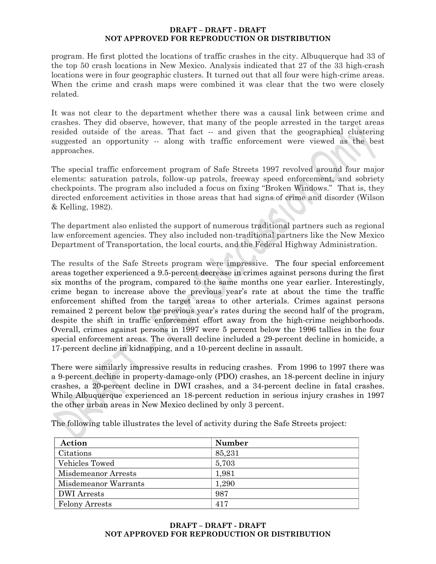program. He first plotted the locations of traffic crashes in the city. Albuquerque had 33 of the top 50 crash locations in New Mexico. Analysis indicated that 27 of the 33 high-crash locations were in four geographic clusters. It turned out that all four were high-crime areas. When the crime and crash maps were combined it was clear that the two were closely related.

It was not clear to the department whether there was a causal link between crime and crashes. They did observe, however, that many of the people arrested in the target areas resided outside of the areas. That fact -- and given that the geographical clustering suggested an opportunity -- along with traffic enforcement were viewed as the best approaches.

The special traffic enforcement program of Safe Streets 1997 revolved around four major elements: saturation patrols, follow-up patrols, freeway speed enforcement, and sobriety checkpoints. The program also included a focus on fixing "Broken Windows." That is, they directed enforcement activities in those areas that had signs of crime and disorder (Wilson & Kelling, 1982).

The department also enlisted the support of numerous traditional partners such as regional law enforcement agencies. They also included non-traditional partners like the New Mexico Department of Transportation, the local courts, and the Federal Highway Administration.

The results of the Safe Streets program were impressive. The four special enforcement areas together experienced a 9.5-percent decrease in crimes against persons during the first six months of the program, compared to the same months one year earlier. Interestingly, crime began to increase above the previous year's rate at about the time the traffic enforcement shifted from the target areas to other arterials. Crimes against persons remained 2 percent below the previous year's rates during the second half of the program, despite the shift in traffic enforcement effort away from the high-crime neighborhoods. Overall, crimes against persons in 1997 were 5 percent below the 1996 tallies in the four special enforcement areas. The overall decline included a 29-percent decline in homicide, a 17-percent decline in kidnapping, and a 10-percent decline in assault.

There were similarly impressive results in reducing crashes. From 1996 to 1997 there was a 9-percent decline in property-damage-only (PDO) crashes, an 18-percent decline in injury crashes, a 20-percent decline in DWI crashes, and a 34-percent decline in fatal crashes. While Albuquerque experienced an 18-percent reduction in serious injury crashes in 1997 the other urban areas in New Mexico declined by only 3 percent.

The following table illustrates the level of activity during the Safe Streets project:

| Action                | Number |
|-----------------------|--------|
| Citations             | 85,231 |
| <b>Vehicles Towed</b> | 5,703  |
| Misdemeanor Arrests   | 1,981  |
| Misdemeanor Warrants  | 1,290  |
| <b>DWI</b> Arrests    | 987    |
| Felony Arrests        | 417    |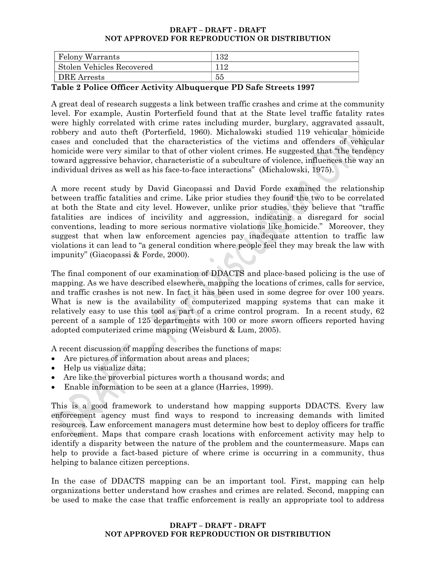| <b>Felony Warrants</b>           | $^{132}$ |
|----------------------------------|----------|
| <b>Stolen Vehicles Recovered</b> |          |
| DRE Arrests                      | 55       |

### **Table 2 Police Officer Activity Albuquerque PD Safe Streets 1997**

A great deal of research suggests a link between traffic crashes and crime at the community level. For example, Austin Porterfield found that at the State level traffic fatality rates were highly correlated with crime rates including murder, burglary, aggravated assault, robbery and auto theft (Porterfield, 1960). Michalowski studied 119 vehicular homicide cases and concluded that the characteristics of the victims and offenders of vehicular homicide were very similar to that of other violent crimes. He suggested that "the tendency toward aggressive behavior, characteristic of a subculture of violence, influences the way an individual drives as well as his face-to-face interactions" (Michalowski, 1975).

A more recent study by David Giacopassi and David Forde examined the relationship between traffic fatalities and crime. Like prior studies they found the two to be correlated at both the State and city level. However, unlike prior studies, they believe that "traffic fatalities are indices of incivility and aggression, indicating a disregard for social conventions, leading to more serious normative violations like homicide." Moreover, they suggest that when law enforcement agencies pay inadequate attention to traffic law violations it can lead to "a general condition where people feel they may break the law with impunity" (Giacopassi & Forde, 2000).

The final component of our examination of DDACTS and place-based policing is the use of mapping. As we have described elsewhere, mapping the locations of crimes, calls for service, and traffic crashes is not new. In fact it has been used in some degree for over 100 years. What is new is the availability of computerized mapping systems that can make it relatively easy to use this tool as part of a crime control program. In a recent study, 62 percent of a sample of 125 departments with 100 or more sworn officers reported having adopted computerized crime mapping (Weisburd & Lum, 2005).

A recent discussion of mapping describes the functions of maps:

- Are pictures of information about areas and places;
- Help us visualiz*e* data;
- Are like the proverbial pictures worth a thousand words; and
- Enable information to be seen at a glance (Harries, 1999).

This is a good framework to understand how mapping supports DDACTS. Every law enforcement agency must find ways to respond to increasing demands with limited resources. Law enforcement managers must determine how best to deploy officers for traffic enforcement. Maps that compare crash locations with enforcement activity may help to identify a disparity between the nature of the problem and the countermeasure. Maps can help to provide a fact-based picture of where crime is occurring in a community, thus helping to balance citizen perceptions.

In the case of DDACTS mapping can be an important tool. First, mapping can help organizations better understand how crashes and crimes are related. Second, mapping can be used to make the case that traffic enforcement is really an appropriate tool to address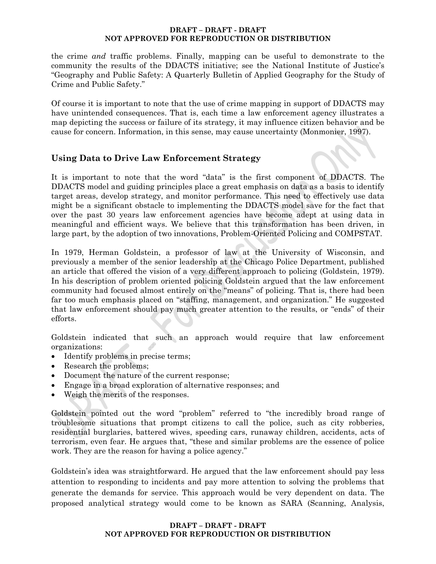the crime *and* traffic problems. Finally, mapping can be useful to demonstrate to the community the results of the DDACTS initiative; see the National Institute of Justice's "Geography and Public Safety: A Quarterly Bulletin of Applied Geography for the Study of Crime and Public Safety."

Of course it is important to note that the use of crime mapping in support of DDACTS may have unintended consequences. That is, each time a law enforcement agency illustrates a map depicting the success or failure of its strategy, it may influence citizen behavior and be cause for concern. Information, in this sense, may cause uncertainty (Monmonier, 1997).

# **Using Data to Drive Law Enforcement Strategy**

It is important to note that the word "data" is the first component of DDACTS. The DDACTS model and guiding principles place a great emphasis on data as a basis to identify target areas, develop strategy, and monitor performance. This need to effectively use data might be a significant obstacle to implementing the DDACTS model save for the fact that over the past 30 years law enforcement agencies have become adept at using data in meaningful and efficient ways. We believe that this transformation has been driven, in large part, by the adoption of two innovations, Problem-Oriented Policing and COMPSTAT.

In 1979, Herman Goldstein, a professor of law at the University of Wisconsin, and previously a member of the senior leadership at the Chicago Police Department, published an article that offered the vision of a very different approach to policing (Goldstein, 1979). In his description of problem oriented policing Goldstein argued that the law enforcement community had focused almost entirely on the "means" of policing. That is, there had been far too much emphasis placed on "staffing, management, and organization." He suggested that law enforcement should pay much greater attention to the results, or "ends" of their efforts.

Goldstein indicated that such an approach would require that law enforcement organizations:

- Identify problems in precise terms;
- Research the problems;
- Document the nature of the current response;
- Engage in a broad exploration of alternative responses; and
- Weigh the merits of the responses.

Goldstein pointed out the word "problem" referred to "the incredibly broad range of troublesome situations that prompt citizens to call the police, such as city robberies, residential burglaries, battered wives, speeding cars, runaway children, accidents, acts of terrorism, even fear. He argues that, "these and similar problems are the essence of police work. They are the reason for having a police agency."

Goldstein's idea was straightforward. He argued that the law enforcement should pay less attention to responding to incidents and pay more attention to solving the problems that generate the demands for service. This approach would be very dependent on data. The proposed analytical strategy would come to be known as SARA (Scanning, Analysis,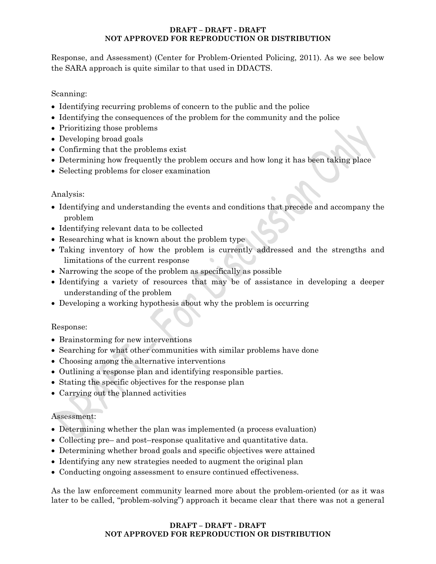Response, and Assessment) (Center for Problem-Oriented Policing, 2011). As we see below the SARA approach is quite similar to that used in DDACTS.

## Scanning:

- Identifying recurring problems of concern to the public and the police
- Identifying the consequences of the problem for the community and the police
- Prioritizing those problems
- Developing broad goals
- Confirming that the problems exist
- Determining how frequently the problem occurs and how long it has been taking place
- Selecting problems for closer examination

### Analysis:

- Identifying and understanding the events and conditions that precede and accompany the problem
- Identifying relevant data to be collected
- Researching what is known about the problem type
- Taking inventory of how the problem is currently addressed and the strengths and limitations of the current response
- Narrowing the scope of the problem as specifically as possible
- Identifying a variety of resources that may be of assistance in developing a deeper understanding of the problem
- Developing a working hypothesis about why the problem is occurring

### Response:

- Brainstorming for new interventions
- Searching for what other communities with similar problems have done
- Choosing among the alternative interventions
- Outlining a response plan and identifying responsible parties.
- Stating the specific objectives for the response plan
- Carrying out the planned activities

### Assessment:

- Determining whether the plan was implemented (a process evaluation)
- Collecting pre– and post–response qualitative and quantitative data.
- Determining whether broad goals and specific objectives were attained
- Identifying any new strategies needed to augment the original plan
- Conducting ongoing assessment to ensure continued effectiveness.

As the law enforcement community learned more about the problem-oriented (or as it was later to be called, "problem-solving") approach it became clear that there was not a general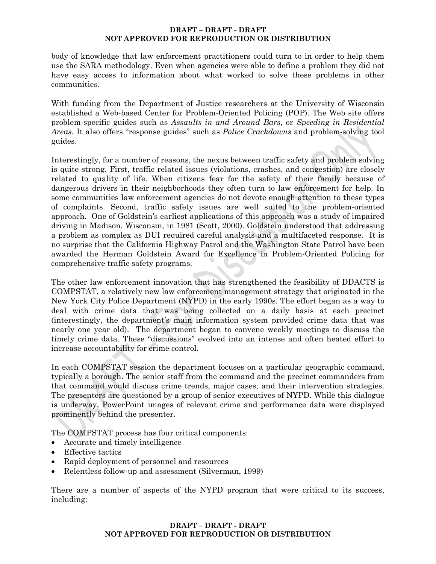body of knowledge that law enforcement practitioners could turn to in order to help them use the SARA methodology. Even when agencies were able to define a problem they did not have easy access to information about what worked to solve these problems in other communities.

With funding from the Department of Justice researchers at the University of Wisconsin established a Web-based Center for Problem-Oriented Policing (POP). The Web site offers problem-specific guides such as *Assaults in and Around Bars*, or *Speeding in Residential Areas*. It also offers "response guides" such as *Police Crackdowns* and problem-solving tool guides.

Interestingly, for a number of reasons, the nexus between traffic safety and problem solving is quite strong. First, traffic related issues (violations, crashes, and congestion) are closely related to quality of life. When citizens fear for the safety of their family because of dangerous drivers in their neighborhoods they often turn to law enforcement for help. In some communities law enforcement agencies do not devote enough attention to these types of complaints. Second, traffic safety issues are well suited to the problem-oriented approach. One of Goldstein's earliest applications of this approach was a study of impaired driving in Madison, Wisconsin, in 1981 (Scott, 2000). Goldstein understood that addressing a problem as complex as DUI required careful analysis and a multifaceted response. It is no surprise that the California Highway Patrol and the Washington State Patrol have been awarded the Herman Goldstein Award for Excellence in Problem-Oriented Policing for comprehensive traffic safety programs.

The other law enforcement innovation that has strengthened the feasibility of DDACTS is COMPSTAT, a relatively new law enforcement management strategy that originated in the New York City Police Department (NYPD) in the early 1990s. The effort began as a way to deal with crime data that was being collected on a daily basis at each precinct (interestingly, the department's main information system provided crime data that was nearly one year old). The department began to convene weekly meetings to discuss the timely crime data. These "discussions" evolved into an intense and often heated effort to increase accountability for crime control.

In each COMPSTAT session the department focuses on a particular geographic command, typically a borough. The senior staff from the command and the precinct commanders from that command would discuss crime trends, major cases, and their intervention strategies. The presenters are questioned by a group of senior executives of NYPD. While this dialogue is underway, PowerPoint images of relevant crime and performance data were displayed prominently behind the presenter.

The COMPSTAT process has four critical components:

- Accurate and timely intelligence
- Effective tactics
- Rapid deployment of personnel and resources
- Relentless follow-up and assessment (Silverman, 1999)

There are a number of aspects of the NYPD program that were critical to its success, including: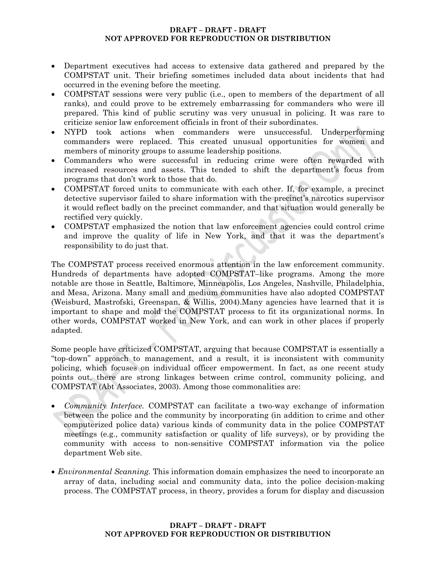- Department executives had access to extensive data gathered and prepared by the COMPSTAT unit. Their briefing sometimes included data about incidents that had occurred in the evening before the meeting.
- COMPSTAT sessions were very public (i.e., open to members of the department of all ranks), and could prove to be extremely embarrassing for commanders who were ill prepared. This kind of public scrutiny was very unusual in policing. It was rare to criticize senior law enforcement officials in front of their subordinates.
- NYPD took actions when commanders were unsuccessful. Underperforming commanders were replaced. This created unusual opportunities for women and members of minority groups to assume leadership positions.
- Commanders who were successful in reducing crime were often rewarded with increased resources and assets. This tended to shift the department's focus from programs that don't work to those that do.
- COMPSTAT forced units to communicate with each other. If, for example, a precinct detective supervisor failed to share information with the precinct's narcotics supervisor it would reflect badly on the precinct commander, and that situation would generally be rectified very quickly.
- COMPSTAT emphasized the notion that law enforcement agencies could control crime and improve the quality of life in New York, and that it was the department's responsibility to do just that.

The COMPSTAT process received enormous attention in the law enforcement community. Hundreds of departments have adopted COMPSTAT–like programs. Among the more notable are those in Seattle, Baltimore, Minneapolis, Los Angeles, Nashville, Philadelphia, and Mesa, Arizona. Many small and medium communities have also adopted COMPSTAT (Weisburd, Mastrofski, Greenspan, & Willis, 2004).Many agencies have learned that it is important to shape and mold the COMPSTAT process to fit its organizational norms. In other words, COMPSTAT worked in New York, and can work in other places if properly adapted.

Some people have criticized COMPSTAT, arguing that because COMPSTAT is essentially a "top-down" approach to management, and a result, it is inconsistent with community policing, which focuses on individual officer empowerment. In fact, as one recent study points out, there are strong linkages between crime control, community policing, and COMPSTAT (Abt Associates, 2003). Among those commonalities are:

- *Community Interface.* COMPSTAT can facilitate a two-way exchange of information between the police and the community by incorporating (in addition to crime and other computerized police data) various kinds of community data in the police COMPSTAT meetings (e.g., community satisfaction or quality of life surveys), or by providing the community with access to non-sensitive COMPSTAT information via the police department Web site.
- *Environmental Scanning.* This information domain emphasizes the need to incorporate an array of data, including social and community data, into the police decision-making process. The COMPSTAT process, in theory, provides a forum for display and discussion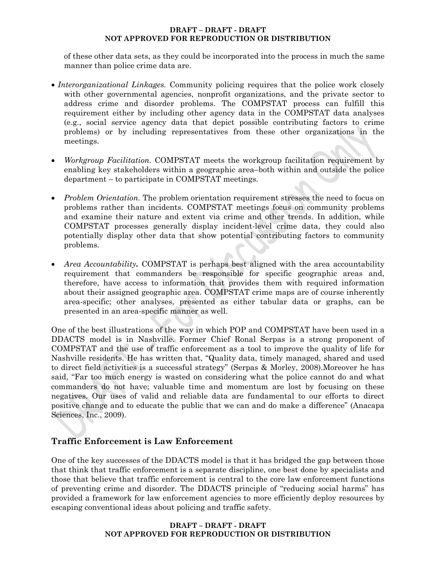of these other data sets, as they could be incorporated into the process in much the same manner than police crime data are.

- *Interorganizational Linkages.* Community policing requires that the police work closely with other governmental agencies, nonprofit organizations, and the private sector to address crime and disorder problems. The COMPSTAT process can fulfill this requirement either by including other agency data in the COMPSTAT data analyses (e.g., social service agency data that depict possible contributing factors to crime problems) or by including representatives from these other organizations in the meetings.
- *Workgroup Facilitation.* COMPSTAT meets the workgroup facilitation requirement by enabling key stakeholders within a geographic area–both within and outside the police department – to participate in COMPSTAT meetings.
- *Problem Orientation*. The problem orientation requirement stresses the need to focus on problems rather than incidents. COMPSTAT meetings focus on community problems and examine their nature and extent via crime and other trends. In addition, while COMPSTAT processes generally display incident-level crime data, they could also potentially display other data that show potential contributing factors to community problems.
- *Area Accountability.* COMPSTAT is perhaps best aligned with the area accountability requirement that commanders be responsible for specific geographic areas and, therefore, have access to information that provides them with required information about their assigned geographic area. COMPSTAT crime maps are of course inherently area-specific; other analyses, presented as either tabular data or graphs, can be presented in an area-specific manner as well.

One of the best illustrations of the way in which POP and COMPSTAT have been used in a DDACTS model is in Nashville. Former Chief Ronal Serpas is a strong proponent of COMPSTAT and the use of traffic enforcement as a tool to improve the quality of life for Nashville residents. He has written that, "Quality data, timely managed, shared and used to direct field activities is a successful strategy" (Serpas & Morley, 2008).Moreover he has said, "Far too much energy is wasted on considering what the police cannot do and what commanders do not have; valuable time and momentum are lost by focusing on these negatives. Our uses of valid and reliable data are fundamental to our efforts to direct positive change and to educate the public that we can and do make a difference" (Anacapa Sciences, Inc., 2009).

# **Traffic Enforcement is Law Enforcement**

One of the key successes of the DDACTS model is that it has bridged the gap between those that think that traffic enforcement is a separate discipline, one best done by specialists and those that believe that traffic enforcement is central to the core law enforcement functions of preventing crime and disorder. The DDACTS principle of "reducing social harms" has provided a framework for law enforcement agencies to more efficiently deploy resources by escaping conventional ideas about policing and traffic safety.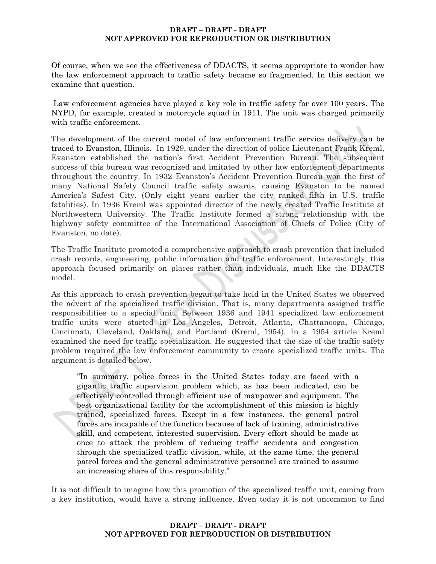Of course, when we see the effectiveness of DDACTS, it seems appropriate to wonder how the law enforcement approach to traffic safety became so fragmented. In this section we examine that question.

 Law enforcement agencies have played a key role in traffic safety for over 100 years. The NYPD, for example, created a motorcycle squad in 1911. The unit was charged primarily with traffic enforcement.

The development of the current model of law enforcement traffic service delivery can be traced to Evanston, Illinois. In 1929, under the direction of police Lieutenant Frank Kreml, Evanston established the nation's first Accident Prevention Bureau. The subsequent success of this bureau was recognized and imitated by other law enforcement departments throughout the country. In 1932 Evanston's Accident Prevention Bureau won the first of many National Safety Council traffic safety awards, causing Evanston to be named America's Safest City. (Only eight years earlier the city ranked fifth in U.S. traffic fatalities). In 1936 Kreml was appointed director of the newly created Traffic Institute at Northwestern University. The Traffic Institute formed a strong relationship with the highway safety committee of the International Association of Chiefs of Police (City of Evanston, no date).

The Traffic Institute promoted a comprehensive approach to crash prevention that included crash records, engineering, public information and traffic enforcement. Interestingly, this approach focused primarily on places rather than individuals, much like the DDACTS model.

As this approach to crash prevention began to take hold in the United States we observed the advent of the specialized traffic division. That is, many departments assigned traffic responsibilities to a special unit. Between 1936 and 1941 specialized law enforcement traffic units were started in Los Angeles, Detroit, Atlanta, Chattanooga, Chicago, Cincinnati, Cleveland, Oakland, and Portland (Kreml, 1954). In a 1954 article Kreml examined the need for traffic specialization. He suggested that the size of the traffic safety problem required the law enforcement community to create specialized traffic units. The argument is detailed below.

"In summary, police forces in the United States today are faced with a gigantic traffic supervision problem which, as has been indicated, can be effectively controlled through efficient use of manpower and equipment. The best organizational facility for the accomplishment of this mission is highly trained, specialized forces. Except in a few instances, the general patrol forces are incapable of the function because of lack of training, administrative skill, and competent, interested supervision. Every effort should be made at once to attack the problem of reducing traffic accidents and congestion through the specialized traffic division, while, at the same time, the general patrol forces and the general administrative personnel are trained to assume an increasing share of this responsibility."

It is not difficult to imagine how this promotion of the specialized traffic unit, coming from a key institution, would have a strong influence. Even today it is not uncommon to find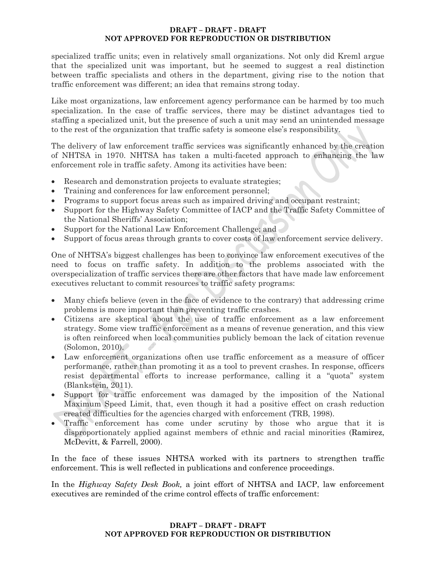specialized traffic units; even in relatively small organizations. Not only did Kreml argue that the specialized unit was important, but he seemed to suggest a real distinction between traffic specialists and others in the department, giving rise to the notion that traffic enforcement was different; an idea that remains strong today.

Like most organizations, law enforcement agency performance can be harmed by too much specialization. In the case of traffic services, there may be distinct advantages tied to staffing a specialized unit, but the presence of such a unit may send an unintended message to the rest of the organization that traffic safety is someone else's responsibility.

The delivery of law enforcement traffic services was significantly enhanced by the creation of NHTSA in 1970. NHTSA has taken a multi-faceted approach to enhancing the law enforcement role in traffic safety. Among its activities have been:

- Research and demonstration projects to evaluate strategies;
- Training and conferences for law enforcement personnel;
- Programs to support focus areas such as impaired driving and occupant restraint;
- Support for the Highway Safety Committee of IACP and the Traffic Safety Committee of the National Sheriffs' Association;
- Support for the National Law Enforcement Challenge; and
- Support of focus areas through grants to cover costs of law enforcement service delivery.

One of NHTSA's biggest challenges has been to convince law enforcement executives of the need to focus on traffic safety. In addition to the problems associated with the overspecialization of traffic services there are other factors that have made law enforcement executives reluctant to commit resources to traffic safety programs:

- Many chiefs believe (even in the face of evidence to the contrary) that addressing crime problems is more important than preventing traffic crashes.
- Citizens are skeptical about the use of traffic enforcement as a law enforcement strategy. Some view traffic enforcement as a means of revenue generation, and this view is often reinforced when local communities publicly bemoan the lack of citation revenue (Solomon, 2010).
- Law enforcement organizations often use traffic enforcement as a measure of officer performance, rather than promoting it as a tool to prevent crashes. In response, officers resist departmental efforts to increase performance, calling it a "quota" system (Blankstein, 2011).
- Support for traffic enforcement was damaged by the imposition of the National Maximum Speed Limit, that, even though it had a positive effect on crash reduction created difficulties for the agencies charged with enforcement (TRB, 1998).
- Traffic enforcement has come under scrutiny by those who argue that it is disproportionately applied against members of ethnic and racial minorities (Ramirez, McDevitt, & Farrell, 2000).

In the face of these issues NHTSA worked with its partners to strengthen traffic enforcement. This is well reflected in publications and conference proceedings.

In the *Highway Safety Desk Book,* a joint effort of NHTSA and IACP, law enforcement executives are reminded of the crime control effects of traffic enforcement: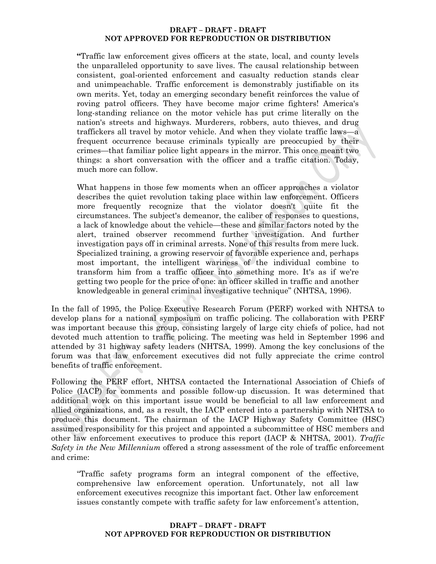**"**Traffic law enforcement gives officers at the state, local, and county levels the unparalleled opportunity to save lives. The causal relationship between consistent, goal-oriented enforcement and casualty reduction stands clear and unimpeachable. Traffic enforcement is demonstrably justifiable on its own merits. Yet, today an emerging secondary benefit reinforces the value of roving patrol officers. They have become major crime fighters! America's long-standing reliance on the motor vehicle has put crime literally on the nation's streets and highways. Murderers, robbers, auto thieves, and drug traffickers all travel by motor vehicle. And when they violate traffic laws—a frequent occurrence because criminals typically are preoccupied by their crimes—that familiar police light appears in the mirror. This once meant two things: a short conversation with the officer and a traffic citation. Today, much more can follow.

What happens in those few moments when an officer approaches a violator describes the quiet revolution taking place within law enforcement. Officers more frequently recognize that the violator doesn't quite fit the circumstances. The subject's demeanor, the caliber of responses to questions, a lack of knowledge about the vehicle—these and similar factors noted by the alert, trained observer recommend further investigation. And further investigation pays off in criminal arrests. None of this results from mere luck. Specialized training, a growing reservoir of favorable experience and, perhaps most important, the intelligent wariness of the individual combine to transform him from a traffic officer into something more. It's as if we're getting two people for the price of one: an officer skilled in traffic and another knowledgeable in general criminal investigative technique" (NHTSA, 1996).

In the fall of 1995, the Police Executive Research Forum (PERF) worked with NHTSA to develop plans for a national symposium on traffic policing. The collaboration with PERF was important because this group, consisting largely of large city chiefs of police, had not devoted much attention to traffic policing. The meeting was held in September 1996 and attended by 31 highway safety leaders (NHTSA, 1999). Among the key conclusions of the forum was that law enforcement executives did not fully appreciate the crime control benefits of traffic enforcement.

Following the PERF effort, NHTSA contacted the International Association of Chiefs of Police (IACP) for comments and possible follow-up discussion. It was determined that additional work on this important issue would be beneficial to all law enforcement and allied organizations, and, as a result, the IACP entered into a partnership with NHTSA to produce this document. The chairman of the IACP Highway Safety Committee (HSC) assumed responsibility for this project and appointed a subcommittee of HSC members and other law enforcement executives to produce this report (IACP & NHTSA, 2001). *Traffic Safety in the New Millennium* offered a strong assessment of the role of traffic enforcement and crime:

"Traffic safety programs form an integral component of the effective, comprehensive law enforcement operation. Unfortunately, not all law enforcement executives recognize this important fact. Other law enforcement issues constantly compete with traffic safety for law enforcement's attention,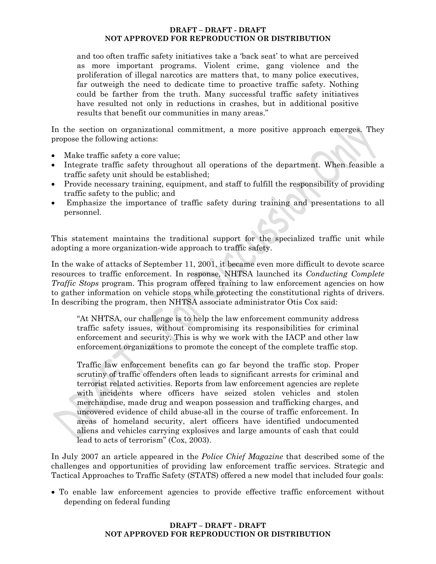and too often traffic safety initiatives take a 'back seat' to what are perceived as more important programs. Violent crime, gang violence and the proliferation of illegal narcotics are matters that, to many police executives, far outweigh the need to dedicate time to proactive traffic safety. Nothing could be farther from the truth. Many successful traffic safety initiatives have resulted not only in reductions in crashes, but in additional positive results that benefit our communities in many areas."

In the section on organizational commitment, a more positive approach emerges. They propose the following actions:

- Make traffic safety a core value;
- Integrate traffic safety throughout all operations of the department. When feasible a traffic safety unit should be established;
- Provide necessary training, equipment, and staff to fulfill the responsibility of providing traffic safety to the public; and
- Emphasize the importance of traffic safety during training and presentations to all personnel.

This statement maintains the traditional support for the specialized traffic unit while adopting a more organization-wide approach to traffic safety.

In the wake of attacks of September 11, 2001, it became even more difficult to devote scarce resources to traffic enforcement. In response, NHTSA launched its *Conducting Complete Traffic Stops* program. This program offered training to law enforcement agencies on how to gather information on vehicle stops while protecting the constitutional rights of drivers. In describing the program, then NHTSA associate administrator Otis Cox said:

"At NHTSA, our challenge is to help the law enforcement community address traffic safety issues, without compromising its responsibilities for criminal enforcement and security. This is why we work with the IACP and other law enforcement organizations to promote the concept of the complete traffic stop.

Traffic law enforcement benefits can go far beyond the traffic stop. Proper scrutiny of traffic offenders often leads to significant arrests for criminal and terrorist related activities. Reports from law enforcement agencies are replete with incidents where officers have seized stolen vehicles and stolen merchandise, made drug and weapon possession and trafficking charges, and uncovered evidence of child abuse-all in the course of traffic enforcement. In areas of homeland security, alert officers have identified undocumented aliens and vehicles carrying explosives and large amounts of cash that could lead to acts of terrorism" (Cox, 2003).

In July 2007 an article appeared in the *Police Chief Magazine* that described some of the challenges and opportunities of providing law enforcement traffic services. Strategic and Tactical Approaches to Traffic Safety (STATS) offered a new model that included four goals:

 To enable law enforcement agencies to provide effective traffic enforcement without depending on federal funding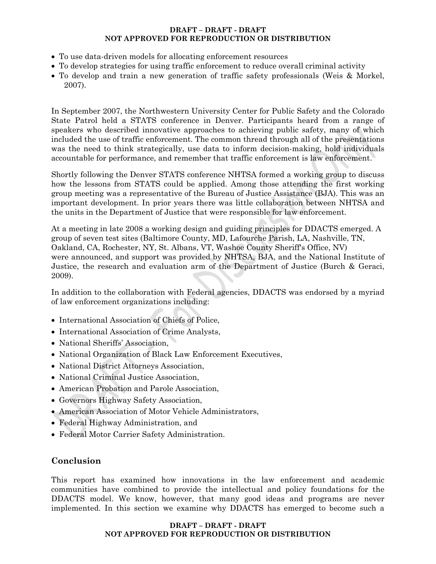- To use data-driven models for allocating enforcement resources
- To develop strategies for using traffic enforcement to reduce overall criminal activity
- To develop and train a new generation of traffic safety professionals (Weis & Morkel, 2007).

In September 2007, the Northwestern University Center for Public Safety and the Colorado State Patrol held a STATS conference in Denver. Participants heard from a range of speakers who described innovative approaches to achieving public safety, many of which included the use of traffic enforcement. The common thread through all of the presentations was the need to think strategically, use data to inform decision-making, hold individuals accountable for performance, and remember that traffic enforcement is law enforcement.

Shortly following the Denver STATS conference NHTSA formed a working group to discuss how the lessons from STATS could be applied. Among those attending the first working group meeting was a representative of the Bureau of Justice Assistance (BJA). This was an important development. In prior years there was little collaboration between NHTSA and the units in the Department of Justice that were responsible for law enforcement.

At a meeting in late 2008 a working design and guiding principles for DDACTS emerged. A group of seven test sites (Baltimore County, MD, Lafourche Parish, LA, Nashville, TN, Oakland, CA, Rochester, NY, St. Albans, VT, Washoe County Sheriff's Office, NV) were announced, and support was provided by NHTSA, BJA, and the National Institute of Justice, the research and evaluation arm of the Department of Justice (Burch & Geraci, 2009).

In addition to the collaboration with Federal agencies, DDACTS was endorsed by a myriad of law enforcement organizations including:

- International Association of Chiefs of Police,
- International Association of Crime Analysts,
- National Sheriffs' Association.
- National Organization of Black Law Enforcement Executives,
- National District Attorneys Association,
- National Criminal Justice Association.
- American Probation and Parole Association,
- Governors Highway Safety Association,
- American Association of Motor Vehicle Administrators,
- Federal Highway Administration, and
- Federal Motor Carrier Safety Administration.

# **Conclusion**

This report has examined how innovations in the law enforcement and academic communities have combined to provide the intellectual and policy foundations for the DDACTS model. We know, however, that many good ideas and programs are never implemented. In this section we examine why DDACTS has emerged to become such a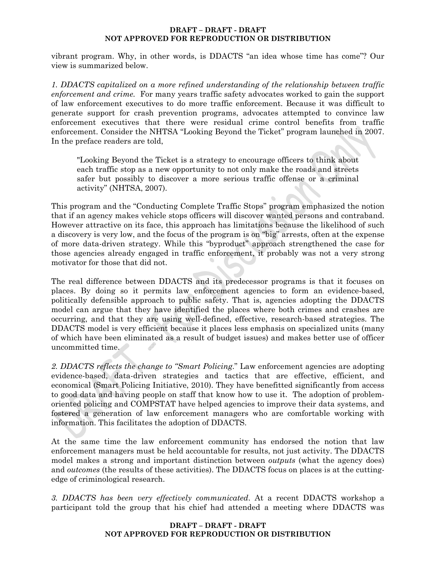vibrant program. Why, in other words, is DDACTS "an idea whose time has come"? Our view is summarized below.

*1. DDACTS capitalized on a more refined understanding of the relationship between traffic enforcement and crime.* For many years traffic safety advocates worked to gain the support of law enforcement executives to do more traffic enforcement. Because it was difficult to generate support for crash prevention programs, advocates attempted to convince law enforcement executives that there were residual crime control benefits from traffic enforcement. Consider the NHTSA "Looking Beyond the Ticket" program launched in 2007. In the preface readers are told,

"Looking Beyond the Ticket is a strategy to encourage officers to think about each traffic stop as a new opportunity to not only make the roads and streets safer but possibly to discover a more serious traffic offense or a criminal activity" (NHTSA, 2007).

This program and the "Conducting Complete Traffic Stops" program emphasized the notion that if an agency makes vehicle stops officers will discover wanted persons and contraband. However attractive on its face, this approach has limitations because the likelihood of such a discovery is very low, and the focus of the program is on "big" arrests, often at the expense of more data-driven strategy. While this "byproduct" approach strengthened the case for those agencies already engaged in traffic enforcement, it probably was not a very strong motivator for those that did not.

The real difference between DDACTS and its predecessor programs is that it focuses on places. By doing so it permits law enforcement agencies to form an evidence-based, politically defensible approach to public safety. That is, agencies adopting the DDACTS model can argue that they have identified the places where both crimes and crashes are occurring, and that they are using well-defined, effective, research-based strategies. The DDACTS model is very efficient because it places less emphasis on specialized units (many of which have been eliminated as a result of budget issues) and makes better use of officer uncommitted time.

*2. DDACTS reflects the change to "Smart Policing*." Law enforcement agencies are adopting evidence-based, data-driven strategies and tactics that are effective, efficient, and economical (Smart Policing Initiative, 2010). They have benefitted significantly from access to good data and having people on staff that know how to use it. The adoption of problemoriented policing and COMPSTAT have helped agencies to improve their data systems, and fostered a generation of law enforcement managers who are comfortable working with information. This facilitates the adoption of DDACTS.

At the same time the law enforcement community has endorsed the notion that law enforcement managers must be held accountable for results, not just activity. The DDACTS model makes a strong and important distinction between *outputs* (what the agency does) and *outcomes* (the results of these activities). The DDACTS focus on places is at the cuttingedge of criminological research.

*3. DDACTS has been very effectively communicated*. At a recent DDACTS workshop a participant told the group that his chief had attended a meeting where DDACTS was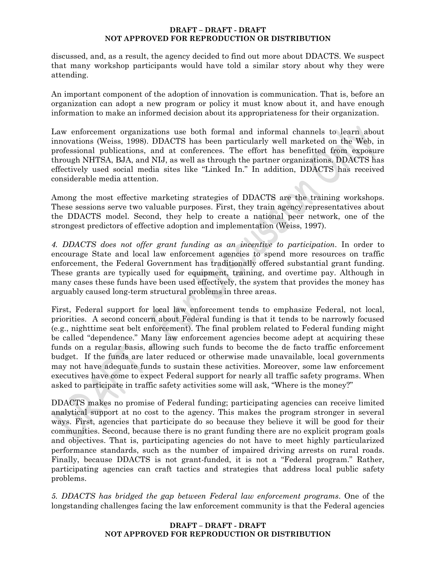discussed, and, as a result, the agency decided to find out more about DDACTS. We suspect that many workshop participants would have told a similar story about why they were attending.

An important component of the adoption of innovation is communication. That is, before an organization can adopt a new program or policy it must know about it, and have enough information to make an informed decision about its appropriateness for their organization.

Law enforcement organizations use both formal and informal channels to learn about innovations (Weiss, 1998). DDACTS has been particularly well marketed on the Web, in professional publications, and at conferences. The effort has benefitted from exposure through NHTSA, BJA, and NIJ, as well as through the partner organizations. DDACTS has effectively used social media sites like "Linked In." In addition, DDACTS has received considerable media attention.

Among the most effective marketing strategies of DDACTS are the training workshops. These sessions serve two valuable purposes. First, they train agency representatives about the DDACTS model. Second, they help to create a national peer network, one of the strongest predictors of effective adoption and implementation (Weiss, 1997).

*4. DDACTS does not offer grant funding as an incentive to participation*. In order to encourage State and local law enforcement agencies to spend more resources on traffic enforcement, the Federal Government has traditionally offered substantial grant funding. These grants are typically used for equipment, training, and overtime pay. Although in many cases these funds have been used effectively, the system that provides the money has arguably caused long-term structural problems in three areas.

First, Federal support for local law enforcement tends to emphasize Federal, not local, priorities. A second concern about Federal funding is that it tends to be narrowly focused (e.g., nighttime seat belt enforcement). The final problem related to Federal funding might be called "dependence." Many law enforcement agencies become adept at acquiring these funds on a regular basis, allowing such funds to become the de facto traffic enforcement budget. If the funds are later reduced or otherwise made unavailable, local governments may not have adequate funds to sustain these activities. Moreover, some law enforcement executives have come to expect Federal support for nearly all traffic safety programs. When asked to participate in traffic safety activities some will ask, "Where is the money?"

DDACTS makes no promise of Federal funding; participating agencies can receive limited analytical support at no cost to the agency. This makes the program stronger in several ways. First, agencies that participate do so because they believe it will be good for their communities. Second, because there is no grant funding there are no explicit program goals and objectives. That is, participating agencies do not have to meet highly particularized performance standards, such as the number of impaired driving arrests on rural roads. Finally, because DDACTS is not grant-funded, it is not a "Federal program." Rather, participating agencies can craft tactics and strategies that address local public safety problems.

*5. DDACTS has bridged the gap between Federal law enforcement programs*. One of the longstanding challenges facing the law enforcement community is that the Federal agencies